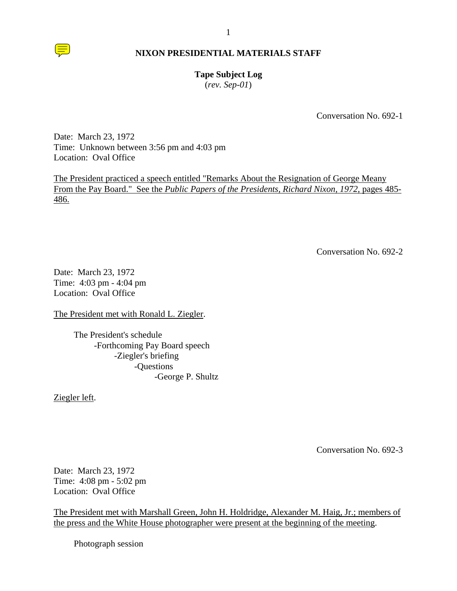

## **Tape Subject Log**

(*rev. Sep-01*)

Conversation No. 692-1

Date: March 23, 1972 Time: Unknown between 3:56 pm and 4:03 pm Location: Oval Office

The President practiced a speech entitled "Remarks About the Resignation of George Meany From the Pay Board." See the *Public Papers of the Presidents, Richard Nixon, 1972*, pages 485- 486.

Conversation No. 692-2

Date: March 23, 1972 Time: 4:03 pm - 4:04 pm Location: Oval Office

The President met with Ronald L. Ziegler.

The President's schedule -Forthcoming Pay Board speech -Ziegler's briefing -Questions -George P. Shultz

Ziegler left.

Conversation No. 692-3

Date: March 23, 1972 Time: 4:08 pm - 5:02 pm Location: Oval Office

The President met with Marshall Green, John H. Holdridge, Alexander M. Haig, Jr.; members of the press and the White House photographer were present at the beginning of the meeting.

Photograph session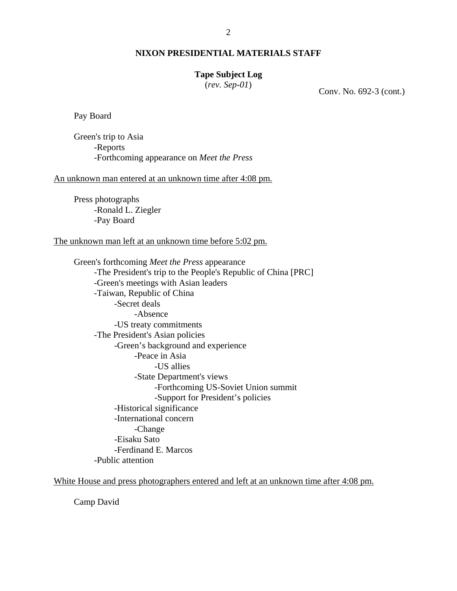### **Tape Subject Log**

(*rev. Sep-01*) Conv. No. 692-3 (cont.)

Pay Board

Green's trip to Asia -Reports -Forthcoming appearance on *Meet the Press*

An unknown man entered at an unknown time after 4:08 pm.

Press photographs -Ronald L. Ziegler -Pay Board

The unknown man left at an unknown time before 5:02 pm.

Green's forthcoming *Meet the Press* appearance -The President's trip to the People's Republic of China [PRC] -Green's meetings with Asian leaders -Taiwan, Republic of China -Secret deals -Absence -US treaty commitments -The President's Asian policies -Green's background and experience -Peace in Asia -US allies -State Department's views -Forthcoming US-Soviet Union summit -Support for President's policies -Historical significance -International concern -Change -Eisaku Sato -Ferdinand E. Marcos -Public attention

White House and press photographers entered and left at an unknown time after 4:08 pm.

Camp David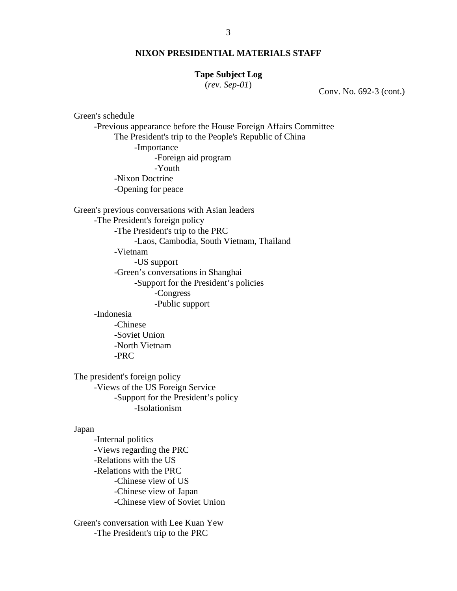### **Tape Subject Log**

(*rev. Sep-01*) Conv. No. 692-3 (cont.)

Green's schedule

-Previous appearance before the House Foreign Affairs Committee The President's trip to the People's Republic of China -Importance -Foreign aid program -Youth -Nixon Doctrine -Opening for peace

Green's previous conversations with Asian leaders -The President's foreign policy -The President's trip to the PRC -Laos, Cambodia, South Vietnam, Thailand -Vietnam -US support -Green's conversations in Shanghai -Support for the President's policies -Congress -Public support -Indonesia -Chinese

> -Soviet Union -North Vietnam -PRC

The president's foreign policy -Views of the US Foreign Service -Support for the President's policy -Isolationism

#### Japan

-Internal politics -Views regarding the PRC -Relations with the US -Relations with the PRC -Chinese view of US -Chinese view of Japan -Chinese view of Soviet Union

Green's conversation with Lee Kuan Yew -The President's trip to the PRC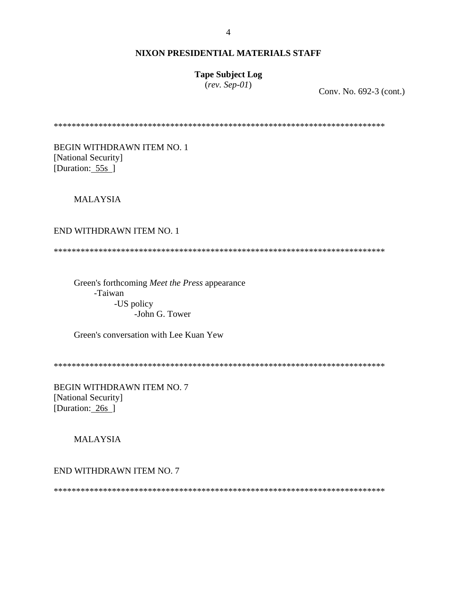# **Tape Subject Log**

 $(rev.$  Sep-01)

Conv. No. 692-3 (cont.)

**BEGIN WITHDRAWN ITEM NO. 1** [National Security] [Duration: 55s]

**MALAYSIA** 

## END WITHDRAWN ITEM NO. 1

Green's forthcoming Meet the Press appearance -Taiwan -US policy -John G. Tower

Green's conversation with Lee Kuan Yew

BEGIN WITHDRAWN ITEM NO. 7 [National Security] [Duration: 26s ]

**MALAYSIA** 

END WITHDRAWN ITEM NO. 7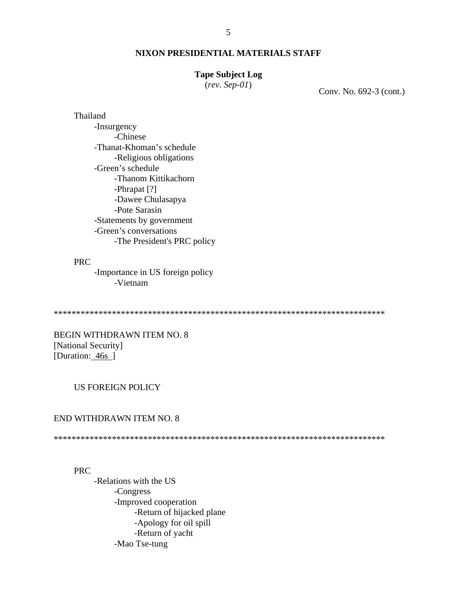#### **Tape Subject Log**

 $(rev.$  Sep- $01)$ 

Conv. No. 692-3 (cont.)

## Thailand

-Insurgency -Chinese -Thanat-Khoman's schedule -Religious obligations -Green's schedule -Thanom Kittikachorn -Phrapat [?] -Dawee Chulasapya -Pote Sarasin -Statements by government -Green's conversations -The President's PRC policy

### **PRC**

-Importance in US foreign policy -Vietnam

**BEGIN WITHDRAWN ITEM NO. 8** [National Security] [Duration: 46s ]

### **US FOREIGN POLICY**

#### END WITHDRAWN ITEM NO. 8

#### **PRC**

-Relations with the US -Congress -Improved cooperation -Return of hijacked plane -Apology for oil spill -Return of yacht -Mao Tse-tung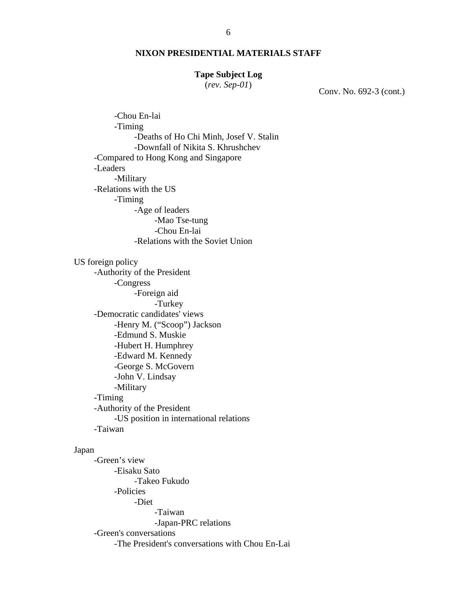## **Tape Subject Log**

(*rev. Sep-01*) Conv. No. 692-3 (cont.)

-Chou En-lai -Timing -Deaths of Ho Chi Minh, Josef V. Stalin -Downfall of Nikita S. Khrushchev -Compared to Hong Kong and Singapore -Leaders -Military -Relations with the US -Timing -Age of leaders -Mao Tse-tung -Chou En-lai -Relations with the Soviet Union US foreign policy -Authority of the President -Congress -Foreign aid -Turkey -Democratic candidates' views -Henry M. ("Scoop") Jackson -Edmund S. Muskie -Hubert H. Humphrey -Edward M. Kennedy -George S. McGovern -John V. Lindsay -Military -Timing -Authority of the President -US position in international relations -Taiwan Japan -Green's view -Eisaku Sato -Takeo Fukudo -Policies -Diet -Taiwan -Japan-PRC relations -Green's conversations -The President's conversations with Chou En-Lai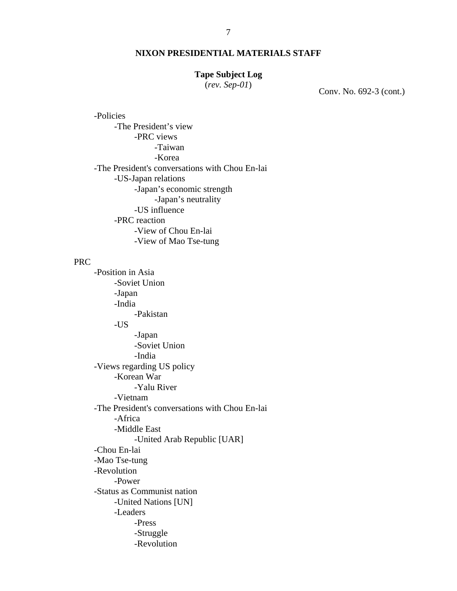## **Tape Subject Log**

(*rev. Sep-01*) Conv. No. 692-3 (cont.)

-Policies -The President's view -PRC views -Taiwan -Korea -The President's conversations with Chou En-lai -US-Japan relations -Japan's economic strength -Japan's neutrality -US influence -PRC reaction -View of Chou En-lai -View of Mao Tse-tung

### PRC

-Position in Asia -Soviet Union -Japan -India -Pakistan -US -Japan -Soviet Union -India -Views regarding US policy -Korean War -Yalu River -Vietnam -The President's conversations with Chou En-lai -Africa -Middle East -United Arab Republic [UAR] -Chou En-lai -Mao Tse-tung -Revolution -Power -Status as Communist nation -United Nations [UN] -Leaders -Press -Struggle -Revolution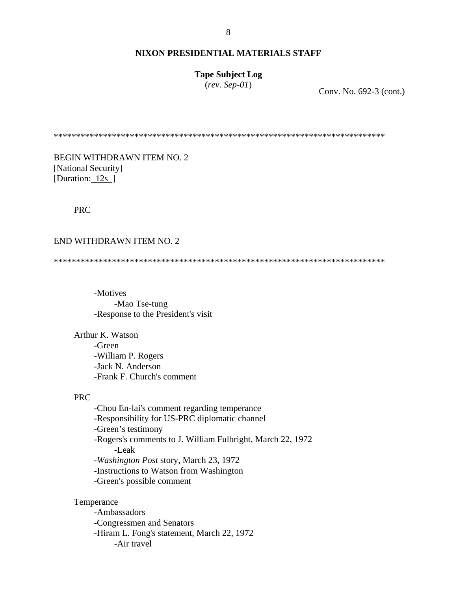## **Tape Subject Log**

(*rev. Sep-01*) Conv. No. 692-3 (cont.)

\*\*\*\*\*\*\*\*\*\*\*\*\*\*\*\*\*\*\*\*\*\*\*\*\*\*\*\*\*\*\*\*\*\*\*\*\*\*\*\*\*\*\*\*\*\*\*\*\*\*\*\*\*\*\*\*\*\*\*\*\*\*\*\*\*\*\*\*\*\*\*\*\*\*

BEGIN WITHDRAWN ITEM NO. 2 [National Security] [Duration: 12s ]

## PRC

#### END WITHDRAWN ITEM NO. 2

\*\*\*\*\*\*\*\*\*\*\*\*\*\*\*\*\*\*\*\*\*\*\*\*\*\*\*\*\*\*\*\*\*\*\*\*\*\*\*\*\*\*\*\*\*\*\*\*\*\*\*\*\*\*\*\*\*\*\*\*\*\*\*\*\*\*\*\*\*\*\*\*\*\*

-Motives -Mao Tse-tung -Response to the President's visit

Arthur K. Watson -Green -William P. Rogers -Jack N. Anderson -Frank F. Church's comment

## PRC

-Chou En-lai's comment regarding temperance -Responsibility for US-PRC diplomatic channel -Green's testimony -Rogers's comments to J. William Fulbright, March 22, 1972 -Leak -*Washington Post* story, March 23, 1972 -Instructions to Watson from Washington -Green's possible comment

Temperance

-Ambassadors -Congressmen and Senators -Hiram L. Fong's statement, March 22, 1972 -Air travel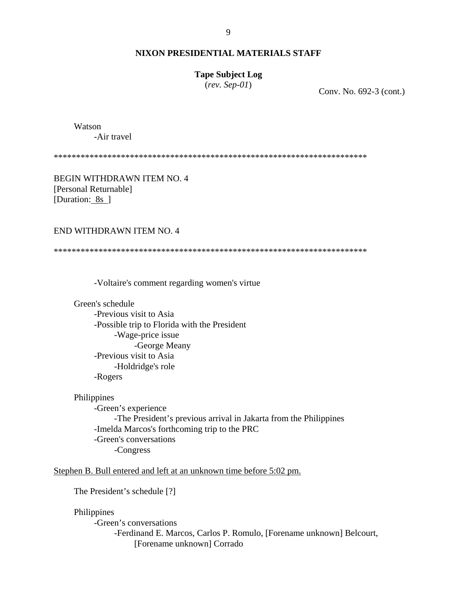### **Tape Subject Log**

(*rev. Sep-01*) Conv. No. 692-3 (cont.)

Watson

-Air travel

\*\*\*\*\*\*\*\*\*\*\*\*\*\*\*\*\*\*\*\*\*\*\*\*\*\*\*\*\*\*\*\*\*\*\*\*\*\*\*\*\*\*\*\*\*\*\*\*\*\*\*\*\*\*\*\*\*\*\*\*\*\*\*\*\*\*\*\*\*\*

BEGIN WITHDRAWN ITEM NO. 4 [Personal Returnable] [Duration: 8s ]

#### END WITHDRAWN ITEM NO. 4

\*\*\*\*\*\*\*\*\*\*\*\*\*\*\*\*\*\*\*\*\*\*\*\*\*\*\*\*\*\*\*\*\*\*\*\*\*\*\*\*\*\*\*\*\*\*\*\*\*\*\*\*\*\*\*\*\*\*\*\*\*\*\*\*\*\*\*\*\*\*

-Voltaire's comment regarding women's virtue

Green's schedule

-Previous visit to Asia -Possible trip to Florida with the President -Wage-price issue -George Meany -Previous visit to Asia -Holdridge's role -Rogers

#### Philippines

-Green's experience -The President's previous arrival in Jakarta from the Philippines -Imelda Marcos's forthcoming trip to the PRC -Green's conversations -Congress

### Stephen B. Bull entered and left at an unknown time before 5:02 pm.

The President's schedule [?]

#### Philippines

 -Green's conversations -Ferdinand E. Marcos, Carlos P. Romulo, [Forename unknown] Belcourt, [Forename unknown] Corrado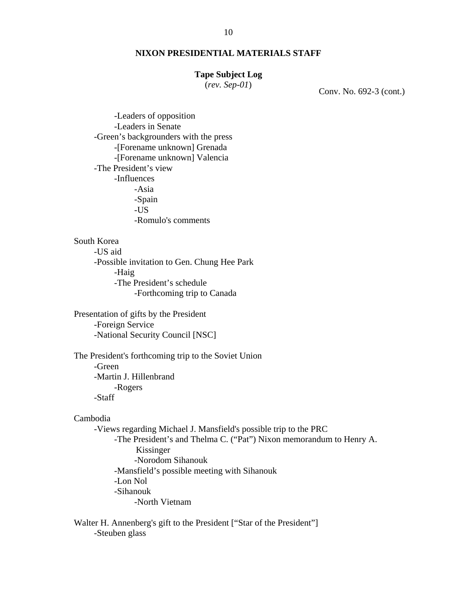#### **Tape Subject Log**

(*rev. Sep-01*) Conv. No. 692-3 (cont.)

 -Leaders of opposition -Leaders in Senate -Green's backgrounders with the press -[Forename unknown] Grenada -[Forename unknown] Valencia -The President's view -Influences -Asia -Spain -US -Romulo's comments

## South Korea

-US aid -Possible invitation to Gen. Chung Hee Park -Haig -The President's schedule -Forthcoming trip to Canada

Presentation of gifts by the President -Foreign Service -National Security Council [NSC]

The President's forthcoming trip to the Soviet Union -Green -Martin J. Hillenbrand -Rogers -Staff

## Cambodia

-Views regarding Michael J. Mansfield's possible trip to the PRC -The President's and Thelma C. ("Pat") Nixon memorandum to Henry A. Kissinger -Norodom Sihanouk -Mansfield's possible meeting with Sihanouk -Lon Nol -Sihanouk -North Vietnam

Walter H. Annenberg's gift to the President ["Star of the President"] -Steuben glass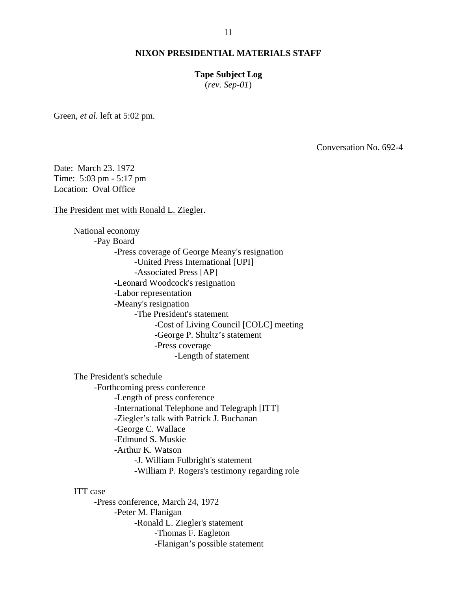#### **Tape Subject Log**

(*rev. Sep-01*)

Green, *et al.* left at 5:02 pm.

Conversation No. 692-4

Date: March 23. 1972 Time: 5:03 pm - 5:17 pm Location: Oval Office

The President met with Ronald L. Ziegler.

National economy -Pay Board -Press coverage of George Meany's resignation -United Press International [UPI] -Associated Press [AP] -Leonard Woodcock's resignation -Labor representation -Meany's resignation -The President's statement -Cost of Living Council [COLC] meeting -George P. Shultz's statement -Press coverage -Length of statement

The President's schedule

-Forthcoming press conference -Length of press conference -International Telephone and Telegraph [ITT] -Ziegler's talk with Patrick J. Buchanan -George C. Wallace -Edmund S. Muskie -Arthur K. Watson -J. William Fulbright's statement -William P. Rogers's testimony regarding role

ITT case

-Press conference, March 24, 1972 -Peter M. Flanigan -Ronald L. Ziegler's statement -Thomas F. Eagleton -Flanigan's possible statement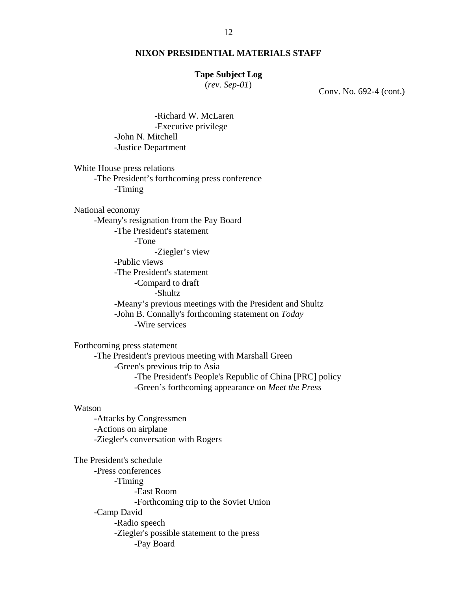### **Tape Subject Log**

(*rev. Sep-01*) Conv. No. 692-4 (cont.)

-Richard W. McLaren -Executive privilege -John N. Mitchell -Justice Department

White House press relations -The President's forthcoming press conference -Timing

National economy

-Meany's resignation from the Pay Board -The President's statement -Tone

-Ziegler's view

-Public views

-The President's statement -Compard to draft

-Shultz

-Meany's previous meetings with the President and Shultz -John B. Connally's forthcoming statement on *Today*

-Wire services

Forthcoming press statement -The President's previous meeting with Marshall Green -Green's previous trip to Asia -The President's People's Republic of China [PRC] policy -Green's forthcoming appearance on *Meet the Press* 

#### Watson

-Attacks by Congressmen -Actions on airplane -Ziegler's conversation with Rogers

The President's schedule -Press conferences -Timing -East Room -Forthcoming trip to the Soviet Union -Camp David -Radio speech -Ziegler's possible statement to the press -Pay Board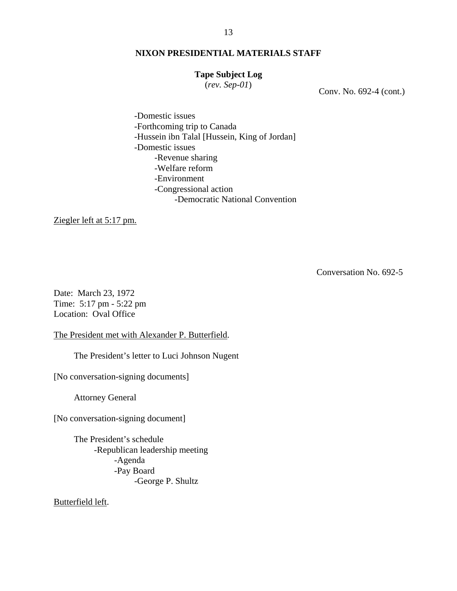## **Tape Subject Log**

(*rev. Sep-01*) Conv. No. 692-4 (cont.)

-Domestic issues -Forthcoming trip to Canada -Hussein ibn Talal [Hussein, King of Jordan] -Domestic issues -Revenue sharing -Welfare reform -Environment -Congressional action -Democratic National Convention

Ziegler left at 5:17 pm.

Conversation No. 692-5

Date: March 23, 1972 Time: 5:17 pm - 5:22 pm Location: Oval Office

The President met with Alexander P. Butterfield.

The President's letter to Luci Johnson Nugent

[No conversation-signing documents]

Attorney General

[No conversation-signing document]

The President's schedule -Republican leadership meeting -Agenda -Pay Board -George P. Shultz

Butterfield left.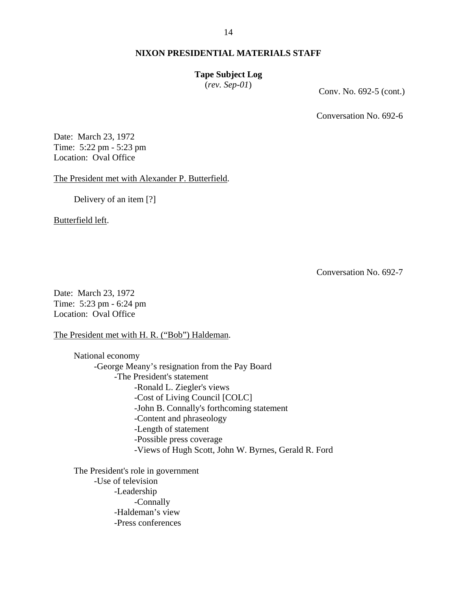#### **Tape Subject Log**

(*rev. Sep-01*) Conv. No. 692-5 (cont.)

Conversation No. 692-6

Date: March 23, 1972 Time: 5:22 pm - 5:23 pm Location: Oval Office

The President met with Alexander P. Butterfield.

Delivery of an item [?]

Butterfield left.

Conversation No. 692-7

Date: March 23, 1972 Time: 5:23 pm - 6:24 pm Location: Oval Office

The President met with H. R. ("Bob") Haldeman.

National economy -George Meany's resignation from the Pay Board -The President's statement -Ronald L. Ziegler's views -Cost of Living Council [COLC] -John B. Connally's forthcoming statement -Content and phraseology -Length of statement -Possible press coverage -Views of Hugh Scott, John W. Byrnes, Gerald R. Ford

The President's role in government -Use of television -Leadership -Connally -Haldeman's view -Press conferences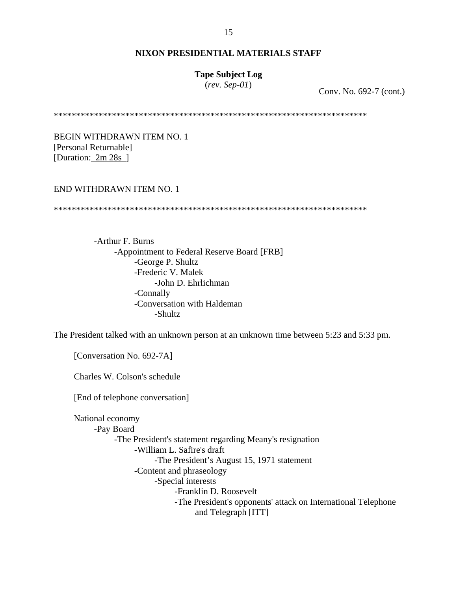## **Tape Subject Log**

(*rev. Sep-01*) Conv. No. 692-7 (cont.)

\*\*\*\*\*\*\*\*\*\*\*\*\*\*\*\*\*\*\*\*\*\*\*\*\*\*\*\*\*\*\*\*\*\*\*\*\*\*\*\*\*\*\*\*\*\*\*\*\*\*\*\*\*\*\*\*\*\*\*\*\*\*\*\*\*\*\*\*\*\*

BEGIN WITHDRAWN ITEM NO. 1 [Personal Returnable] [Duration: 2m 28s ]

### END WITHDRAWN ITEM NO. 1

\*\*\*\*\*\*\*\*\*\*\*\*\*\*\*\*\*\*\*\*\*\*\*\*\*\*\*\*\*\*\*\*\*\*\*\*\*\*\*\*\*\*\*\*\*\*\*\*\*\*\*\*\*\*\*\*\*\*\*\*\*\*\*\*\*\*\*\*\*\*

-Arthur F. Burns -Appointment to Federal Reserve Board [FRB] -George P. Shultz -Frederic V. Malek -John D. Ehrlichman -Connally -Conversation with Haldeman -Shultz

The President talked with an unknown person at an unknown time between 5:23 and 5:33 pm.

[Conversation No. 692-7A]

Charles W. Colson's schedule

[End of telephone conversation]

National economy -Pay Board -The President's statement regarding Meany's resignation -William L. Safire's draft -The President's August 15, 1971 statement -Content and phraseology -Special interests -Franklin D. Roosevelt -The President's opponents' attack on International Telephone and Telegraph [ITT]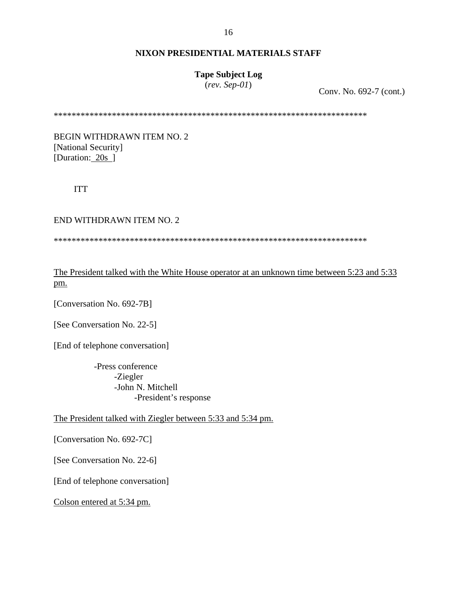# **Tape Subject Log**

(*rev. Sep-01*) Conv. No. 692-7 (cont.)

\*\*\*\*\*\*\*\*\*\*\*\*\*\*\*\*\*\*\*\*\*\*\*\*\*\*\*\*\*\*\*\*\*\*\*\*\*\*\*\*\*\*\*\*\*\*\*\*\*\*\*\*\*\*\*\*\*\*\*\*\*\*\*\*\*\*\*\*\*\*

BEGIN WITHDRAWN ITEM NO. 2 [National Security] [Duration: 20s ]

ITT

END WITHDRAWN ITEM NO. 2

\*\*\*\*\*\*\*\*\*\*\*\*\*\*\*\*\*\*\*\*\*\*\*\*\*\*\*\*\*\*\*\*\*\*\*\*\*\*\*\*\*\*\*\*\*\*\*\*\*\*\*\*\*\*\*\*\*\*\*\*\*\*\*\*\*\*\*\*\*\*

The President talked with the White House operator at an unknown time between 5:23 and 5:33 pm.

[Conversation No. 692-7B]

[See Conversation No. 22-5]

[End of telephone conversation]

 -Press conference -Ziegler -John N. Mitchell -President's response

The President talked with Ziegler between 5:33 and 5:34 pm.

[Conversation No. 692-7C]

[See Conversation No. 22-6]

[End of telephone conversation]

Colson entered at 5:34 pm.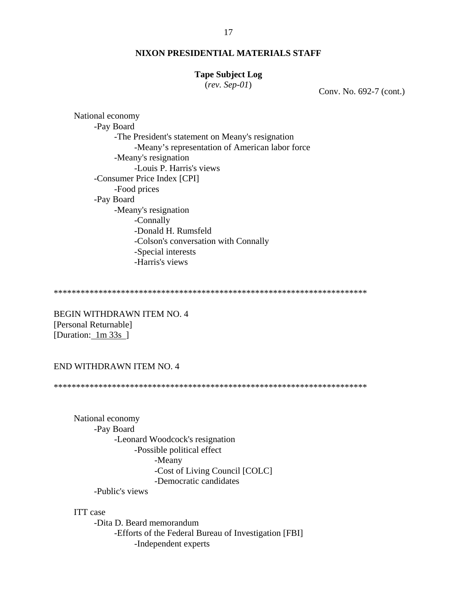### **Tape Subject Log**

 $(rev.$  Sep-01)

Conv. No. 692-7 (cont.)

National economy -Pay Board -The President's statement on Meany's resignation -Meany's representation of American labor force -Meany's resignation -Louis P. Harris's views -Consumer Price Index [CPI] -Food prices -Pay Board -Meany's resignation -Connally -Donald H. Rumsfeld -Colson's conversation with Connally -Special interests -Harris's views

**BEGIN WITHDRAWN ITEM NO. 4** [Personal Returnable] [Duration:  $1m 33s$ ]

## END WITHDRAWN ITEM NO. 4

National economy -Pay Board -Leonard Woodcock's resignation -Possible political effect -Meany -Cost of Living Council [COLC] -Democratic candidates -Public's views

**ITT** case

-Dita D. Beard memorandum -Efforts of the Federal Bureau of Investigation [FBI] -Independent experts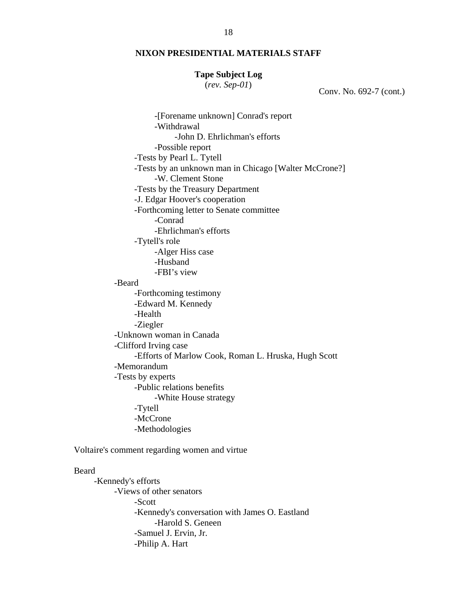### **Tape Subject Log**

(*rev. Sep-01*) Conv. No. 692-7 (cont.)

 -[Forename unknown] Conrad's report -Withdrawal -John D. Ehrlichman's efforts -Possible report -Tests by Pearl L. Tytell -Tests by an unknown man in Chicago [Walter McCrone?] -W. Clement Stone -Tests by the Treasury Department -J. Edgar Hoover's cooperation -Forthcoming letter to Senate committee -Conrad -Ehrlichman's efforts -Tytell's role -Alger Hiss case -Husband -FBI's view -Beard -Forthcoming testimony -Edward M. Kennedy -Health -Ziegler -Unknown woman in Canada -Clifford Irving case -Efforts of Marlow Cook, Roman L. Hruska, Hugh Scott -Memorandum -Tests by experts -Public relations benefits -White House strategy -Tytell -McCrone -Methodologies

Voltaire's comment regarding women and virtue

#### Beard

-Kennedy's efforts -Views of other senators -Scott -Kennedy's conversation with James O. Eastland -Harold S. Geneen -Samuel J. Ervin, Jr. -Philip A. Hart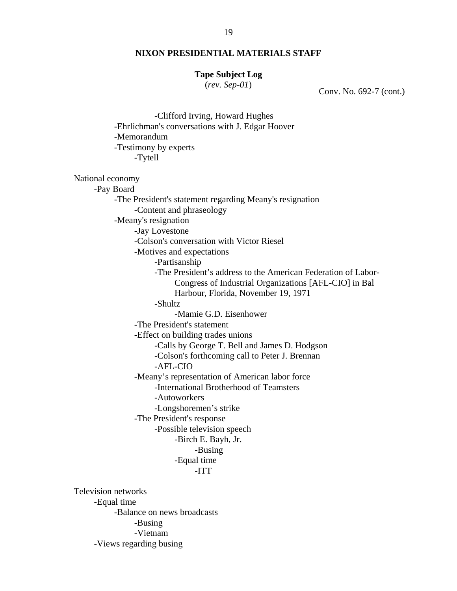### **Tape Subject Log**

(*rev. Sep-01*) Conv. No. 692-7 (cont.)

 -Clifford Irving, Howard Hughes -Ehrlichman's conversations with J. Edgar Hoover -Memorandum -Testimony by experts -Tytell National economy -Pay Board -The President's statement regarding Meany's resignation -Content and phraseology -Meany's resignation -Jay Lovestone -Colson's conversation with Victor Riesel -Motives and expectations -Partisanship -The President's address to the American Federation of Labor-Congress of Industrial Organizations [AFL-CIO] in Bal Harbour, Florida, November 19, 1971 -Shultz -Mamie G.D. Eisenhower -The President's statement -Effect on building trades unions -Calls by George T. Bell and James D. Hodgson -Colson's forthcoming call to Peter J. Brennan -AFL-CIO -Meany's representation of American labor force -International Brotherhood of Teamsters -Autoworkers -Longshoremen's strike -The President's response -Possible television speech -Birch E. Bayh, Jr. -Busing -Equal time -ITT Television networks -Equal time -Balance on news broadcasts -Busing -Vietnam

-Views regarding busing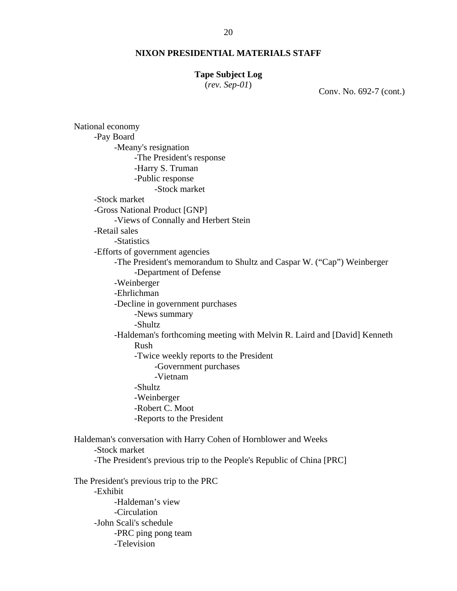#### **Tape Subject Log**

(*rev. Sep-01*) Conv. No. 692-7 (cont.)

National economy -Pay Board -Meany's resignation -The President's response -Harry S. Truman -Public response -Stock market -Stock market -Gross National Product [GNP] -Views of Connally and Herbert Stein -Retail sales -Statistics -Efforts of government agencies -The President's memorandum to Shultz and Caspar W. ("Cap") Weinberger -Department of Defense -Weinberger -Ehrlichman -Decline in government purchases -News summary -Shultz -Haldeman's forthcoming meeting with Melvin R. Laird and [David] Kenneth Rush -Twice weekly reports to the President -Government purchases -Vietnam -Shultz -Weinberger -Robert C. Moot -Reports to the President Haldeman's conversation with Harry Cohen of Hornblower and Weeks -Stock market -The President's previous trip to the People's Republic of China [PRC] The President's previous trip to the PRC -Exhibit -Haldeman's view -Circulation -John Scali's schedule -PRC ping pong team -Television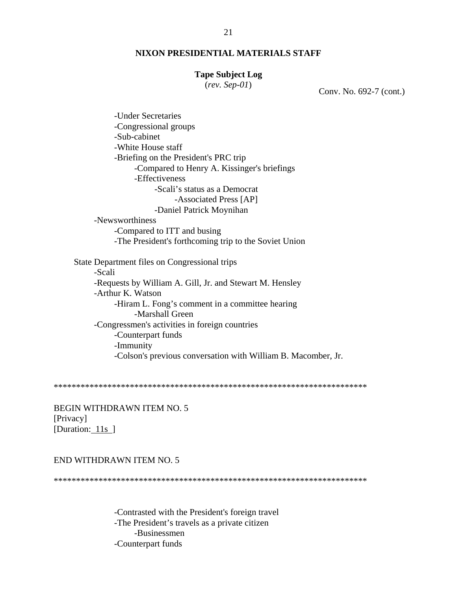#### **Tape Subject Log**

(*rev. Sep-01*) Conv. No. 692-7 (cont.)

-Under Secretaries -Congressional groups -Sub-cabinet -White House staff -Briefing on the President's PRC trip -Compared to Henry A. Kissinger's briefings -Effectiveness -Scali's status as a Democrat -Associated Press [AP] -Daniel Patrick Moynihan -Newsworthiness -Compared to ITT and busing -The President's forthcoming trip to the Soviet Union State Department files on Congressional trips -Scali -Requests by William A. Gill, Jr. and Stewart M. Hensley -Arthur K. Watson -Hiram L. Fong's comment in a committee hearing -Marshall Green -Congressmen's activities in foreign countries -Counterpart funds -Immunity -Colson's previous conversation with William B. Macomber, Jr.

\*\*\*\*\*\*\*\*\*\*\*\*\*\*\*\*\*\*\*\*\*\*\*\*\*\*\*\*\*\*\*\*\*\*\*\*\*\*\*\*\*\*\*\*\*\*\*\*\*\*\*\*\*\*\*\*\*\*\*\*\*\*\*\*\*\*\*\*\*\*

BEGIN WITHDRAWN ITEM NO. 5 [Privacy] [Duration: 11s ]

### END WITHDRAWN ITEM NO. 5

\*\*\*\*\*\*\*\*\*\*\*\*\*\*\*\*\*\*\*\*\*\*\*\*\*\*\*\*\*\*\*\*\*\*\*\*\*\*\*\*\*\*\*\*\*\*\*\*\*\*\*\*\*\*\*\*\*\*\*\*\*\*\*\*\*\*\*\*\*\*

-Contrasted with the President's foreign travel -The President's travels as a private citizen -Businessmen -Counterpart funds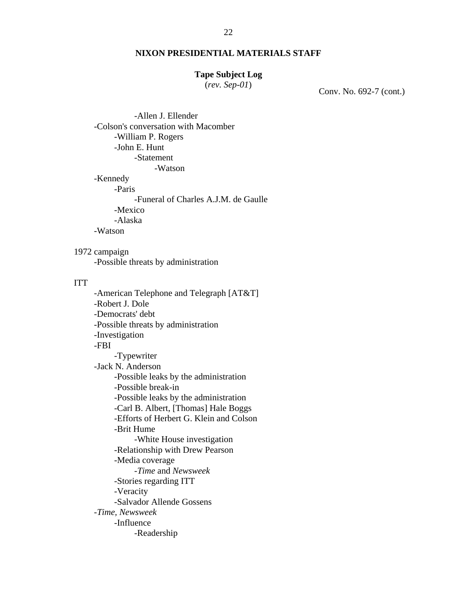### **Tape Subject Log**

(*rev. Sep-01*) Conv. No. 692-7 (cont.)

-Allen J. Ellender -Colson's conversation with Macomber -William P. Rogers -John E. Hunt -Statement -Watson -Kennedy -Paris -Funeral of Charles A.J.M. de Gaulle -Mexico -Alaska -Watson

1972 campaign -Possible threats by administration

### ITT

-American Telephone and Telegraph [AT&T] -Robert J. Dole -Democrats' debt -Possible threats by administration -Investigation -FBI -Typewriter -Jack N. Anderson -Possible leaks by the administration -Possible break-in -Possible leaks by the administration -Carl B. Albert, [Thomas] Hale Boggs -Efforts of Herbert G. Klein and Colson -Brit Hume -White House investigation -Relationship with Drew Pearson -Media coverage -*Time* and *Newsweek*  -Stories regarding ITT -Veracity -Salvador Allende Gossens -*Time, Newsweek* -Influence -Readership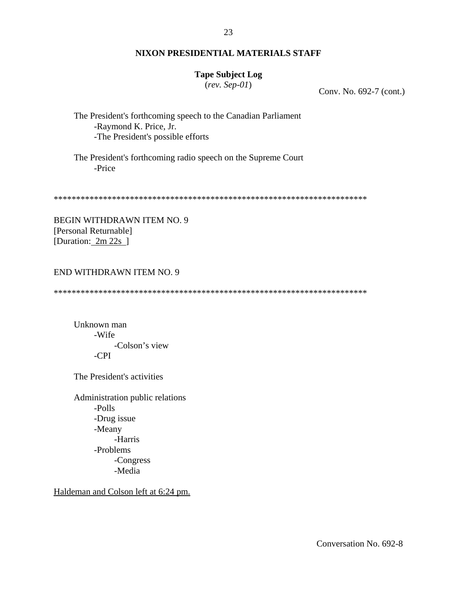# **Tape Subject Log**

 $(rev.$  Sep-01)

Conv. No. 692-7 (cont.)

The President's forthcoming speech to the Canadian Parliament -Raymond K. Price, Jr. -The President's possible efforts

The President's forthcoming radio speech on the Supreme Court -Price

**BEGIN WITHDRAWN ITEM NO. 9** [Personal Returnable] [Duration: 2m 22s ]

## **END WITHDRAWN ITEM NO. 9**

Unknown man -Wife -Colson's view  $-CPI$ 

The President's activities

Administration public relations  $-Polls$ -Drug issue -Meany -Harris -Problems -Congress -Media

Haldeman and Colson left at 6:24 pm.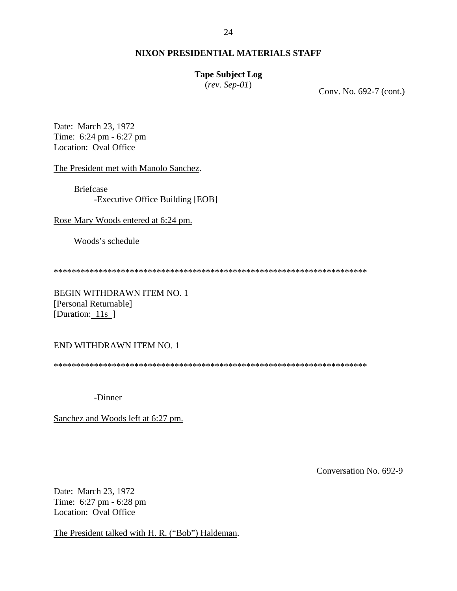## **Tape Subject Log**

(*rev. Sep-01*) Conv. No. 692-7 (cont.)

Date: March 23, 1972 Time: 6:24 pm - 6:27 pm Location: Oval Office

The President met with Manolo Sanchez.

Briefcase -Executive Office Building [EOB]

Rose Mary Woods entered at 6:24 pm.

Woods's schedule

\*\*\*\*\*\*\*\*\*\*\*\*\*\*\*\*\*\*\*\*\*\*\*\*\*\*\*\*\*\*\*\*\*\*\*\*\*\*\*\*\*\*\*\*\*\*\*\*\*\*\*\*\*\*\*\*\*\*\*\*\*\*\*\*\*\*\*\*\*\*

BEGIN WITHDRAWN ITEM NO. 1 [Personal Returnable] [Duration: 11s ]

### END WITHDRAWN ITEM NO. 1

\*\*\*\*\*\*\*\*\*\*\*\*\*\*\*\*\*\*\*\*\*\*\*\*\*\*\*\*\*\*\*\*\*\*\*\*\*\*\*\*\*\*\*\*\*\*\*\*\*\*\*\*\*\*\*\*\*\*\*\*\*\*\*\*\*\*\*\*\*\*

-Dinner

Sanchez and Woods left at 6:27 pm.

Conversation No. 692-9

Date: March 23, 1972 Time: 6:27 pm - 6:28 pm Location: Oval Office

The President talked with H. R. ("Bob") Haldeman.